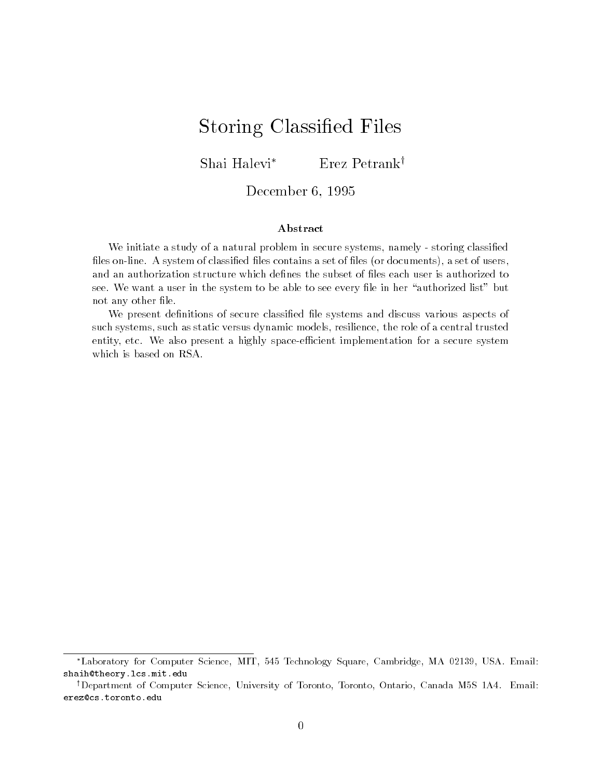# Storing Classified Files

Shai Halevi<sup>\*</sup> Erez Petrank<sup>†</sup>

### $\rightarrow$  0001110001  $\rightarrow$  0001  $\rightarrow$  0001

### Abstract

We initiate a study of a natural problem in secure systems namely storing classi-ed -les online A system of classi-ed -les contains a set of -les or documents a set of users see We want a user in the system to be able to see every -le in her authorized list but not any other and  $\sim$ 

We present de-nitions of secure classi-ed -le systems and discuss various aspects of such systems, such as static versus dynamic models, resilience, the role of a central trusted entity, etc. We also present a highly space-efficient implementation for a secure system which is based on RSA

<sup>-</sup>Laboratory for Computer Science, MIT, 545 Technology Square, Cambridge, MA 02159, OSA. Email: shaih@theory.lcs.mit.edu

Department of Computer Science, University of Toronto, Toronto, Ontario, Canada M5S TA4. Email: " erez@cs.toronto.edu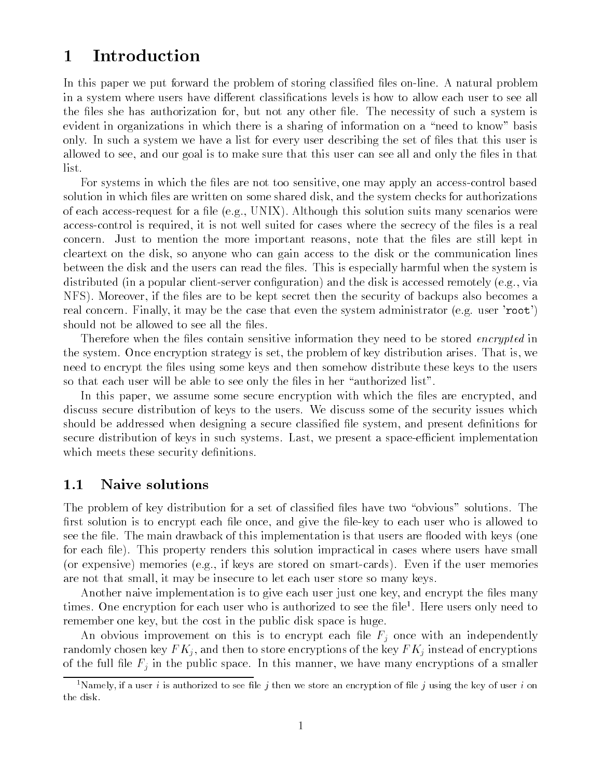#### Introduction  $\mathbf 1$

In this paper we put forward the problem of storing classied les on-line A natural problem in a system where users have different classifications levels is how to allow each user to see all the files she has authorization for, but not any other file. The necessity of such a system is evident in organizations in which there is a sharing of information on a "need to know" basis only. In such a system we have a list for every user describing the set of files that this user is allowed to see, and our goal is to make sure that this user can see all and only the files in that list

For systems in which the les are not too sensitive one may apply an access-control based solution in which files are written on some shared disk, and the system checks for authorizations of each access-request for a le eg UNIX Although this solution suits many scenarios were control is required it is not well suited it is not well suited for cases where the secrecy of the less is a r concern. Just to mention the more important reasons, note that the files are still kept in cleartext on the disk, so anyone who can gain access to the disk or the communication lines between the disk and the users can read the files. This is especially harmful when the system is distributed in a popular client-construction of the distribution  $\alpha$  and the distribution of the disk is accessed remotely in a control of the distribution of the distribution of the distribution of the distribution of th NFS). Moreover, if the files are to be kept secret then the security of backups also becomes a real concern Finally it may be the case that even the system administrator eg user root should not be allowed to see all the files.

Therefore when the files contain sensitive information they need to be stored *encrypted* in the system. Once encryption strategy is set, the problem of key distribution arises. That is, we need to encrypt the files using some keys and then somehow distribute these keys to the users so that each user will be able to see only the files in her "authorized list".

In this paper, we assume some secure encryption with which the files are encrypted, and discuss secure distribution of keys to the users. We discuss some of the security issues which should be addressed when designing a secure classified file system, and present definitions for secure distribution of keys in such systems Last we present a space-ecient implementation which meets these security definitions.

## 1.1 Naive solutions

The problem of key distribution for a set of classified files have two "obvious" solutions. The rst solution is to encrypt each least leastly head  $A$ ers the left to each user who is allowed to is allowed to see the file. The main drawback of this implementation is that users are flooded with keys (one for each file). This property renders this solution impractical in cases where users have small or experience, memories engly if help if the stored on small cards in the user memories of are not that small, it may be insecure to let each user store so many keys.

Another naive implementation is to give each user just one key, and encrypt the files many times. One encryption for each user who is authorized to see the file there users only need to the remember one key, but the cost in the public disk space is huge.

An obvious improvement on this is to encrypt each file  $F_j$  once with an independently randomly chosen key  $FK_j$ , and then to store encryptions of the key  $FK_j$  instead of encryptions of the full file  $F_j$  in the public space. In this manner, we have many encryptions of a smaller

<sup>-</sup>inamely, if a user  $i$  is authorized to see the  $j$  then we store an encryption of fife  $j$  using the key of user  $i$  on the disk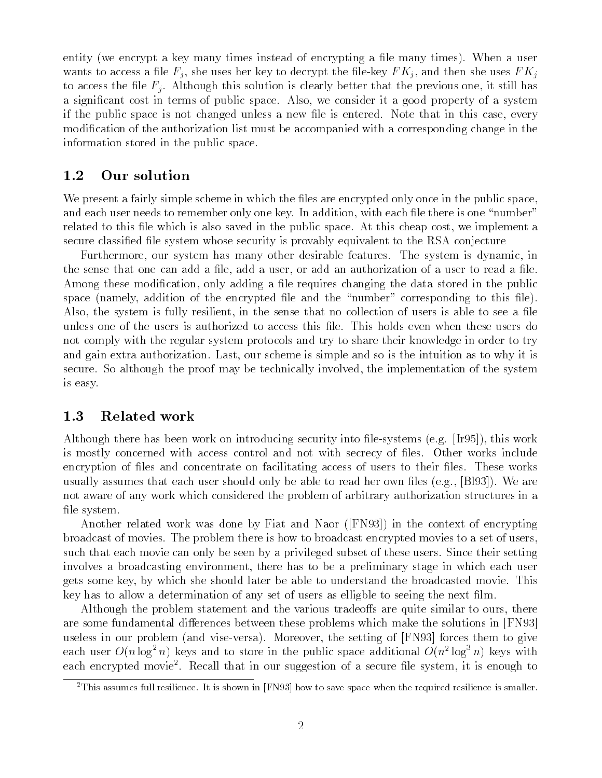entity (we encrypt a key many times instead of encrypting a file many times). When a user wants to decrypt a left  $\tau$  ) was an an left the le-rely to decrypt the left of  $\tau$  , which there are uses F K j to access the file  $F_i$ . Although this solution is clearly better that the previous one, it still has a significant cost in terms of public space. Also, we consider it a good property of a system if the public space is not changed unless a new file is entered. Note that in this case, every modification of the authorization list must be accompanied with a corresponding change in the information stored in the public space

#### 1.2 Our solution

We present a fairly simple scheme in which the files are encrypted only once in the public space, and each user needs to remember only one key. In addition, with each file there is one "number" related to this file which is also saved in the public space. At this cheap cost, we implement a secure classified file system whose security is provably equivalent to the RSA conjecture

Furthermore, our system has many other desirable features. The system is dynamic, in the sense that one can add a file, add a user, or add an authorization of a user to read a file. Among these modification, only adding a file requires changing the data stored in the public space (namely, addition of the encrypted file and the "number" corresponding to this file). Also, the system is fully resilient, in the sense that no collection of users is able to see a file unless one of the users is authorized to access this file. This holds even when these users do not comply with the regular system protocols and try to share their knowledge in order to try and gain extra authorization. Last, our scheme is simple and so is the intuition as to why it is secure. So although the proof may be technically involved, the implementation of the system is easy

## 1.3 Related work

Although there has been work on interview into leading security into leading security into leading  $\mathcal{A}$ is mostly concerned with access control and not with secrecy of files. Other works include encryption of files and concentrate on facilitating access of users to their files. These works usually assumes that each user should only be able to read her own files  $(e.g., [B193])$ . We are not aware of any work which considered the problem of arbitrary authorization structures in a file system.

Another related work was done by Fiat and Naor  $(FN93)$  in the context of encrypting broadcast of movies The problem there is how to broadcast encrypted movies to a set of users such that each movie can only be seen by a privileged subset of these users. Since their setting involves a broadcasting environment, there has to be a preliminary stage in which each user gets some key by which she should later be able to understand the broadcasted movie This key has to allow a determination of any set of users as elligble to seeing the next film.

Although the problem statement and the various tradeoffs are quite similar to ours, there are some fundamental differences between these problems which make the solutions in [FN93] versales in our problem and vise-versales in the setting of FN forces them to give the setting of  $\alpha$ each user  $O(n \log^2 n)$  keys and to store in the public space additional  $O(n^2 \log^2 n)$  keys with each encrypted moviet. Recall that in our suggestion of a secure life system, it is enough to

<sup>&</sup>lt;sup>2</sup>This assumes full resilience. It is shown in [FN93] how to save space when the required resilience is smaller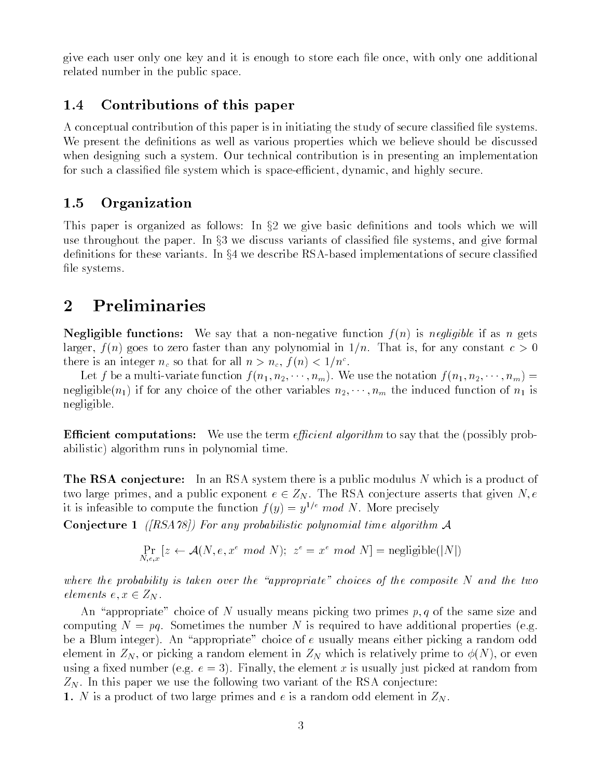give each user only one key and it is enough to store each file once, with only one additional related number in the public space

## Contributions of this paper

A conceptual contribution of this paper is in initiating the study of secure classified file systems. We present the definitions as well as various properties which we believe should be discussed when designing such a system. Our technical contribution is in presenting an implementation for such a classied le system which is space-ecient dynamic and highly secure

## 1.5 Organization

This paper is organized as follows: In  $\S2$  we give basic definitions and tools which we will use throughout the paper. In  $\S 3$  we discuss variants of classified file systems, and give formal denitions for these variants In x we describe RSA-based implementations of secure classied file systems.

## 2 Preliminaries

negligible functions we say that a non-negligible in the international constant in the international constant of the international constant in the international constant in the international constant in the international c larger,  $f(n)$  goes to zero faster than any polynomial in  $1/n$ . That is, for any constant  $c > 0$ there is an integer  $n_c$  so that for all  $n > n_c$ ,  $f(n) < 1/n^2$ .

Let f be a multi-variate function f n n nm We use the notation f n n nm negligible $(n_1)$  if for any choice of the other variables  $n_2, \dots, n_m$  the induced function of  $n_1$  is negligible

**Efficient computations:** We use the term *efficient algorithm* to say that the (possibly probabilistic) algorithm runs in polynomial time.

**The RSA conjecture:** In an RSA system there is a public modulus N which is a product of two large primes, and a public exponent  $e \in Z_N$ . The RSA conjecture asserts that given N, e it is infeasible to compute the function  $f(y) = y^{1/e} \mod N$ . More precisely

Conjecture - -RSA For any probabilistic polynomial time algorithm <sup>A</sup>

$$
\Pr_{N,e,x}\left[z \leftarrow \mathcal{A}(N,e,x^e \mod N); \ z^e = x^e \mod N\right] = \text{negligible}(|N|)
$$

where the probability is taken over the "appropriate" choices of the composite  $N$  and the two elements  $e, x \in Z_N$ .

An "appropriate" choice of N usually means picking two primes  $p, q$  of the same size and computing  $N = pq$ . Sometimes the number N is required to have additional properties (e.g. be a Blum integer). An "appropriate" choice of e usually means either picking a random odd element in  $Z_N$ , or picking a random element in  $Z_N$  which is relatively prime to  $\phi(N)$ , or even using a fixed number (e.g.  $e = 3$ ). Finally, the element x is usually just picked at random from  $Z_N$ . In this paper we use the following two variant of the RSA conjecture:

 $-$  . It as a product of two large primes and e is a random over in Zingman  $-$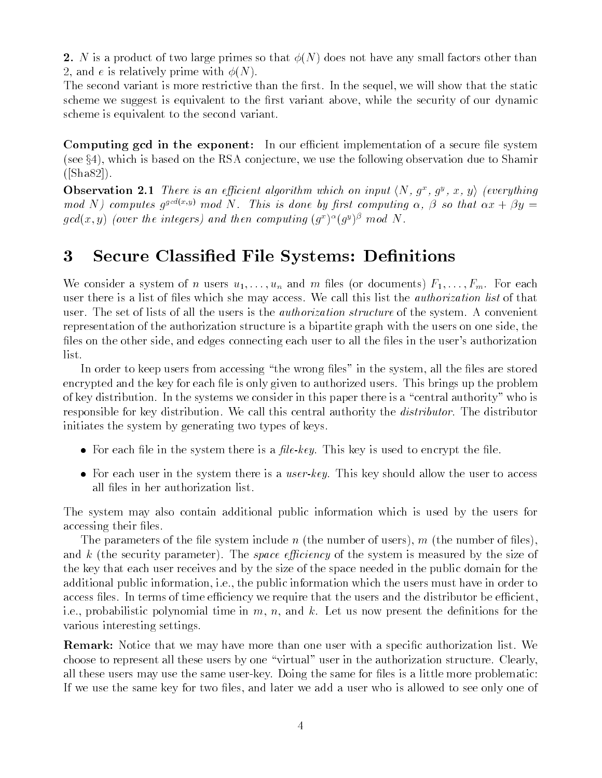2. N is a product of two large primes so that  $\phi(N)$  does not have any small factors other than 2, and e is relatively prime with  $\phi(N)$ .

The second variant is more restrictive than the first. In the sequel, we will show that the static scheme we suggest is equivalent to the first variant above, while the security of our dynamic scheme is equivalent to the second variant

Computing ged in the exponent: In our efficient implementation of a secure file system (see  $\S 4$ ), which is based on the RSA conjecture, we use the following observation due to Shamir  $([Sha82]).$ 

**Observation 2.1** Inere is an efficient algorithm which on input  $\langle N, q \rangle$ ,  $q^2$ , x, y) (everything mod N e computes  $q^{s-\langle \infty \rangle s}$  mod N . Ints is done by prst computing  $\alpha$ ,  $\beta$  so that  $\alpha x + \beta y =$  $qca(x, y)$  (over the integers) and then computing  $(q^\omega)^\omega (q^\sigma)^\omega$  mod iv.

#### 3 Secure Classified File Systems: Definitions

We consider a system of n users  $u_1, \ldots, u_n$  and m files (or documents)  $F_1, \ldots, F_m$ . For each user there is a list of files which she may access. We call this list the *authorization list* of that user. The set of lists of all the users is the *authorization structure* of the system. A convenient representation of the authorization structure is a bipartite graph with the users on one side, the les on the other side and edges connecting each user to all the user to all the user to all the user to all the user to all the user to all the user to all the user to all the user to all the user to all the user to all t

In order to keep users from accessing "the wrong files" in the system, all the files are stored encrypted and the key for each file is only given to authorized users. This brings up the problem of key distribution. In the systems we consider in this paper there is a "central authority" who is responsible for key distribution. We call this central authority the *distributor*. The distributor initiates the system by generating two types of keys

- For each file in the system there is a *file-key*. This key is used to encrypt the file.
- $\bullet$  For each user in the system there is a *user-key*. This key should allow the user to access all files in her authorization list.

The system may also contain additional public information which is used by the users for accessing their files.

The parameters of the file system include n (the number of users), m (the number of files), and k (the security parameter). The *space efficiency* of the system is measured by the size of the key that each user receives and by the size of the space needed in the public domain for the additional public information, i.e., the public information which the users must have in order to access files. In terms of time efficiency we require that the users and the distributor be efficient, i.e., probabilistic polynomial time in m, n, and k. Let us now present the definitions for the various interesting settings

**Remark:** Notice that we may have more than one user with a specific authorization list. We choose to represent all these users by one "virtual" user in the authorization structure. Clearly, all these users may use the same for les is a little more than the same of the same for less is a little more If we use the same key for two files, and later we add a user who is allowed to see only one of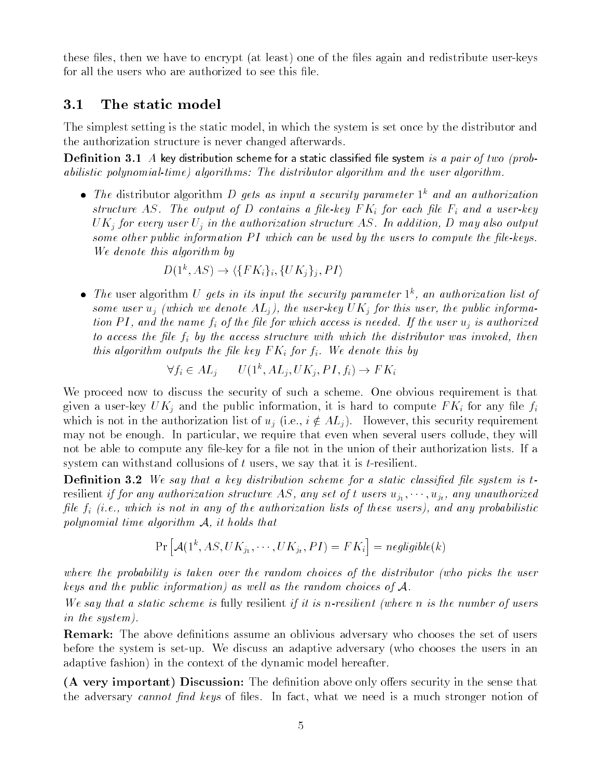these less the the west to encrypt and redistribute user-the less and redistribute user-the less and redistrib for all the users who are authorized to see this file.

#### $3.1$ The static model

The simplest setting is the static model, in which the system is set once by the distributor and the authorization structure is never changed afterwards

 $D$  chinivion of  $I$  if it  $\mathcal{P}_I$  along key distribution scheme for a static classified into system for a pair of two problems abilistic polynomial-time) algorithms: The distributor algorithm and the user algorithm.

 $\bullet$  The distributor algorithm D gets as input a security parameter  $\Gamma$  and an authorization structure AS. The output of D contains a file-key  $FK_i$  for each file  $F_i$  and a user-key UKj for every user Uj in the authorization structure AS In addition D may also output some other public information  $PI$  which can be used by the users to compute the file-keys. We denote this algorithm by

$$
D(1^k, AS) \rightarrow \langle \{FK_i\}_i, \{UK_j\}_j, PI \rangle
$$

 $\bullet$  The user algorithm U gets in its input the security parameter  $\Gamma$ , an authorization ust of some user which which we denote ALJ for the user  $\mu$  which  $\mu$  for the public information  $\mu$ tion P I and the name fi of the le for which access is needed If the user uj is authorized to access the le fi by the access structure with which the distributor was invoked then this algorithm outputs the file key  $FK_i$  for  $f_i$ . We denote this by

$$
\forall f_i \in AL_j \qquad U(1^k, AL_j, UK_j, PI, f_i) \to FK_i
$$

We proceed now to discuss the security of such a scheme. One obvious requirement is that  $\Omega$  user-bunding and the public information information information in the public information in the public information in the public information in the public information in the public information in the public informat which is not in the authorization list of  $u_j$  (i.e.,  $i \notin AL_j$ ). However, this security requirement may not be enough. In particular, we require that even when several users collude, they will not be able to compute any le-key for a le not in the union of their authorization lists If a system can withstand collusions of t users we say that it is t-resilient

**Definition 3.2** We say that a key distribution scheme for a static classified file system is tresidint if the any set of the structure AS any unauthorized any set of the structure and any unauthorized any le finitely distributed in any of the authorization lists of these users  $\{f\}$  and any probabilities of polynomial time algorithm <sup>A</sup> it holds that

$$
\Pr\left[\mathcal{A}(1^k, AS, UK_{j_1}, \cdots, UK_{j_t}, PI) = FK_i\right] = negligible(k)
$$

where the probability is taken over the random choices of the distributor (who picks the user keys and the public information) as well as the random choices of  $A$ .

We say that a static scheme is fully resilient if it is n-resilient (where  $n$  is the number of users in the system 

**Remark:** The above definitions assume an oblivious adversary who chooses the set of users before the system is set-up We discuss an adaptive adversary who chooses the users in an adaptive fashion) in the context of the dynamic model hereafter.

(A very important) Discussion: The definition above only offers security in the sense that the adversary cannot find keys of files. In fact, what we need is a much stronger notion of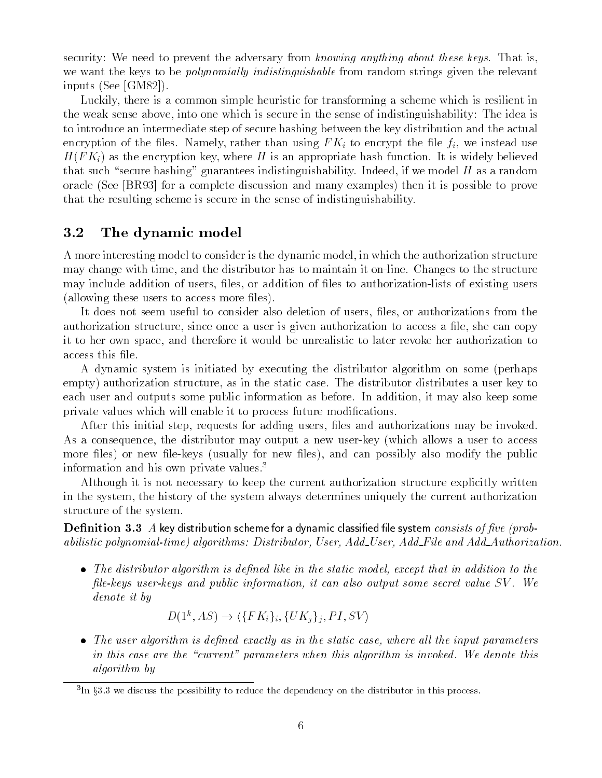security: We need to prevent the adversary from knowing anything about these keys. That is. we want the keys to be *polynomially indistinguishable* from random strings given the relevant inputs (See [GM82]).

Luckily, there is a common simple heuristic for transforming a scheme which is resilient in the weak sense above, into one which is secure in the sense of indistinguishability. The idea is to introduce an intermediate step of secure hashing between the key distribution and the actual encryption of the files. Namely, rather than using  $FK_i$  to encrypt the file  $f_i$ , we instead use  $H(F K_i)$  as the encryption key, where H is an appropriate hash function. It is widely believed that such "secure hashing" guarantees indistinguishability. Indeed, if we model H as a random oracle (See BR93) for a complete discussion and many examples) then it is possible to prove that the resulting scheme is secure in the sense of indistinguishability

#### $3.2$ The dynamic model

A more interesting model to consider is the dynamic model in which the authorization structure may change with time and the distributor has to maintain it on-line Changes to the structure may include addition of users les or addition of les to authorization-lists of existing users (allowing these users to access more files).

It does not seem useful to consider also deletion of users, files, or authorizations from the authorization structure, since once a user is given authorization to access a file, she can copy it to her own space and therefore it would be unrealistic to later revoke her authorization to access this file.

A dynamic system is initiated by executing the distributor algorithm on some (perhaps empty) authorization structure, as in the static case. The distributor distributes a user key to each user and outputs some public information as before. In addition, it may also keep some private values which will enable it to process future modifications.

After this initial step, requests for adding users, files and authorizations may be invoked. As a consequence the distributor may output a new user-key which allows a user to access more less or new less or new less and can possible the public term in the public term in the public term in the public term in the public term in the public term in the public term in the public term in the public term in information and his own private values.<sup>3</sup>

Although it is not necessary to keep the current authorization structure explicitly written in the system the history of the system always determines uniquely the current authorization structure of the system

**Definition 3.3** A key distribution scheme for a dynamic classified file system *consists of five (prob*abilities polynomialistic proportioner in the start of the product and additional complements in the control of

 The distributor algorithm is dened like in the static model except that in addition to the lekeys userkeys and public information it can also output some secret value SV We denote it by

$$
D(1^k, AS) \rightarrow \langle \{FK_i\}_i, \{UK_j\}_j, PI, SV \rangle
$$

 The user algorithm is dened exactly as in the static case where all the input parameters in this case are the "current" parameters when this algorithm is invoked. We denote this algorithm by

<sup>-</sup>in 35.5 we discuss the possibility to reduce the dependency on the distributor in this process. -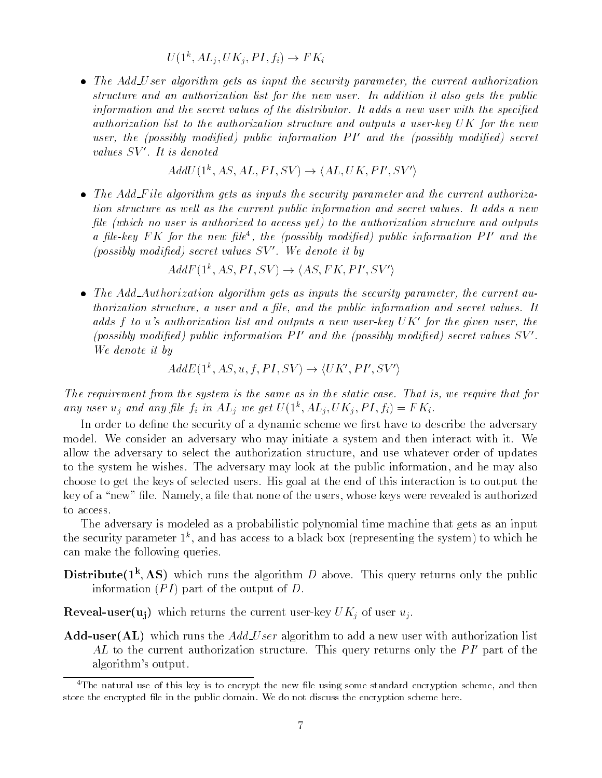$U(1, A L_i, U \Lambda_i, F I, J_i) \rightarrow F \Lambda_i$ 

 The Add U ser algorithm gets as input the security parameter the current authorization structure and an authorization list for the new user. In addition it also gets the public information and the secret values of the distributor. It adds a new user with the specified authorization list to the authorization structure and outputs a user-key  $UK$  for the new user, the possibly modified public information P I and the possibly modified secret values  $SV'$ . It is denoted

$$
AddU(1^k, AS, AL, PI, SV) \rightarrow \langle AL, UK, PI', SV' \rangle
$$

• The Add\_File algorithm gets as inputs the security parameter and the current authorization structure as well as the current public information and secret values. It adds a new file (which no user is authorized to access yet) to the authorization structure and outputs a ple-key **F** K for the new ple<sup>-</sup>, the (possibly modified) public information P I and the  $\alpha$ (possibly modified) secret values  $SV'$ . We denote it by

 $A \alpha F \left( \Gamma, A \right)$ ,  $P \left( \Gamma, \mathcal{S} \right) \rightarrow \langle A \mathcal{S}, \Gamma, \mathcal{K} \rangle$ ,  $P \left( \Gamma, \mathcal{S} \right)$ 

 The Add Authorization algorithm gets as inputs the security parameter the current au thorization structure, a user and a public information and secretaries units because the secret of aaas  $f$  to us authorization ust and outputs a new user-key  $\cup$  K for the given user, the  $f$ (possibly modified) public information  $PI'$  and the (possibly modified) secret values  $SV'.$ <br>We denote it by

$$
AddE(1^k, AS, u, f, PI, SV) \rightarrow \langle UK', PI', SV' \rangle
$$

The requirement from the system is the system is the same as in the static case  $\Gamma$ any user  $u_j$  and any jue  $f_i$  in  $AL_j$  we get  $U(1, AL_j, UN_j, FI, f_i) = F N_i$ .

In order to define the security of a dynamic scheme we first have to describe the adversary model. We consider an adversary who may initiate a system and then interact with it. We allow the adversary to select the authorization structure, and use whatever order of updates to the system he wishes. The adversary may look at the public information, and he may also choose to get the keys of selected users His goal at the end of this interaction is to output the key of a "new" file. Namely, a file that none of the users, whose keys were revealed is authorized to access.

The adversary is modeled as a probabilistic polynomial time machine that gets as an input the security parameter  $1$  , and has access to a black box (representing the system) to which he can make the following queries

**Distribute(I', AS)** which runs the algorithm D above. This query returns only the public information  $(PI)$  part of the output of D.

key UKj of usersum which returns the current user user users users users user users users users users users user u

**Add-user**(AL) which runs the  $AddUser$  algorithm to add a new user with authorization list AL to the current authorization structure. This query returns only the  $PI'$  part of the algorithm in the contract of the contract of the contract of the contract of the contract of the contract of the contract of the contract of the contract of the contract of the contract of the contract of the contract of t

The natural use of this key is to encrypt the new life using some standard encryption scheme, and then  $\sim$ store the encrypted le in the public domain We do not discuss the encryption scheme here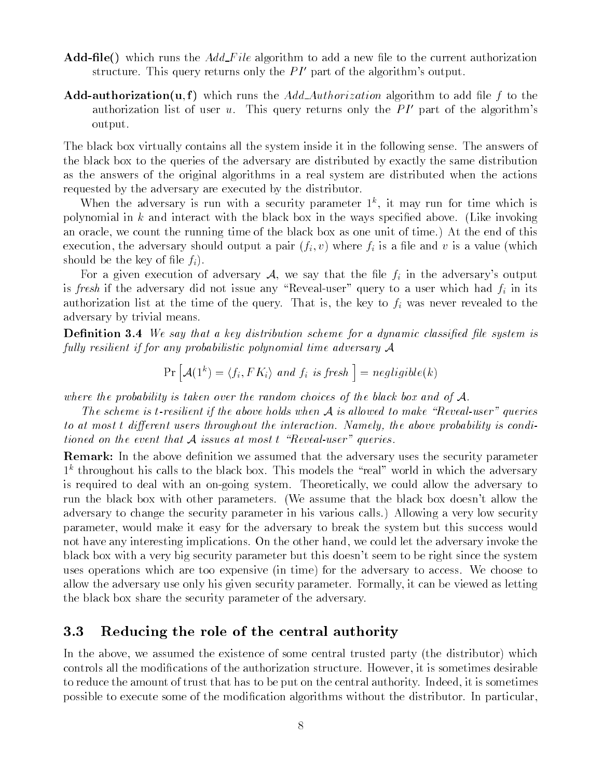- **Add-file** which runs the  $Add$  File algorithm to add a new file to the current authorization structure. This query returns only the  $PI$  -part of the algorithm soutput.
- **Add-authorization(u,f)** which runs the Add-Authorization algorithm to add file f to the authorization list of user  $u$ . This query returns only the  $PI$  -part of the algorithm s output

The black box virtually contains all the system inside it in the following sense. The answers of the black box to the queries of the adversary are distributed by exactly the same distribution as the answers of the original algorithms in a real system are distributed when the actions requested by the adversary are executed by the distributor

when the adversary is run with a security parameter  $\Gamma$ , it may run for time which is polynomial in k and interact with the black box in the ways specified above. (Like invoking an oracle, we count the running time of the black box as one unit of time.) At the end of this execution, the adversary should output a pair  $(f_i, v)$  where  $f_i$  is a file and v is a value (which should be the key of file  $f_i$ ).

For a given execution of adversary A we say that the le fi in the adversary s output is fresh if the adversary did not issue any Reveal-user query to a user which had fi in its authorization list at the time of the query. That is, the key to  $f_i$  was never revealed to the adversary by trivial means

Denition We say that a key distribution scheme for a dynamic classied le system is fully resilient if for any probabilistic polynomial time adversary  $A$ 

$$
Pr\left[\mathcal{A}(1^k) = \langle f_i, FK_i \rangle \text{ and } f_i \text{ is fresh }\right] = negligible(k)
$$

where the probability is taken over the random choices of the black box and of  $A$ .

The scheme is t-resilient if the above holds when  $A$  is allowed to make "Reveal-user" queries to at most t any stone users the agreement the interactions of above the above probability is conditions. tioned on the event that  $A$  issues at most  $t$  "Reveal-user" queries.

Remark: In the above definition we assumed that the adversary uses the security parameter k throughout his calls to the black box This models the real world in which the adversary is required to deal with an on-deal with an on-deal with an on-deal we could allow the adversary to  $\mathcal{U}(\mathbf{A})$ run the black box with other parameters with the black box doesn's with the black box doesn't the bl adversary to change the security parameter in his various calls.) Allowing a very low security parameter, would make it easy for the adversary to break the system but this success would not have any interesting implications. On the other hand, we could let the adversary invoke the black box with a very big security parameter but this doesn t seem to be right since the system uses operations which are too expensive (in time) for the adversary to access. We choose to allow the adversary use only his given security parameter. Formally, it can be viewed as letting the black box share the security parameter of the adversary

## 3.3 Reducing the role of the central authority

In the above, we assumed the existence of some central trusted party (the distributor) which controls all the modifications of the authorization structure. However, it is sometimes desirable to reduce the amount of trust that has to be put on the central authority Indeed it is sometimes possible to execute some of the modification algorithms without the distributor. In particular,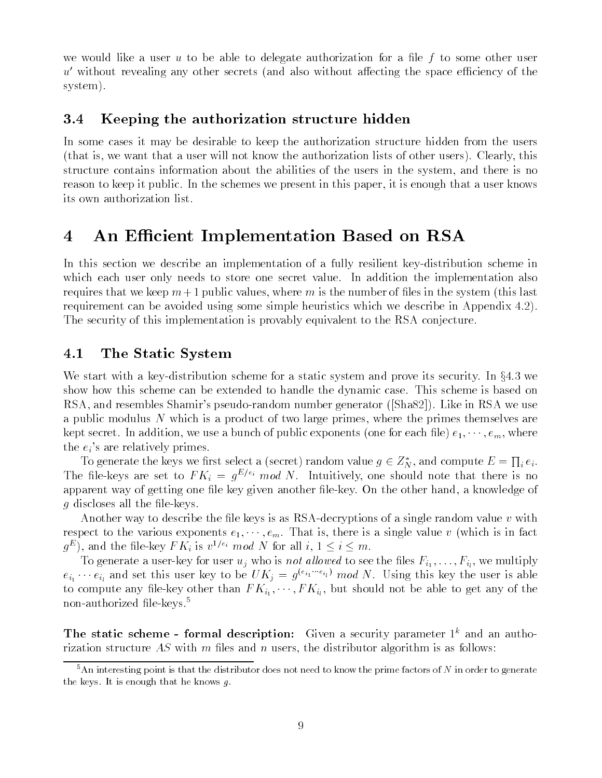we would like a user u to be able to delegate authorization for a file f to some other user  $u'$  without revealing any other secrets (and also without affecting the space efficiency of the system).

#### $3.4$ Keeping the authorization structure hidden

In some cases it may be desirable to keep the authorization structure hidden from the users (that is, we want that a user will not know the authorization lists of other users). Clearly, this structure contains information about the abilities of the users in the system and there is no reason to keep it public. In the schemes we present in this paper, it is enough that a user knows its own authorization list

## 4 An Efficient Implementation Based on RSA

In this section we describe an implementation of a fully resilient key-distribution scheme in which each user only needs to store one secret value. In addition the implementation also requires that we keep  $m+1$  public values, where m is the number of files in the system (this last requirement can be avoided using some simple heuristics which we describe in Appendix 4.2). The security of this implementation is provably equivalent to the RSA conjecture

## 4.1 The Static System

We start with a key-distribution scheme for a static system and prove its security In x we show how this scheme can be extended to handle the dynamic case This scheme is based on rsa and random number shahara s pseudo- random number at Almandali, and the share in RSA we use a public modulus N which is a product of two large primes, where the primes themselves are kept secret. In addition, we use a bunch of public exponents (one for each file)  $e_1, \dots, e_m$ , where the eight are relatively primes and the state of the state of the state of the state of the state of the state of the state of the state of the state of the state of the state of the state of the state of the state of the

To generate the keys we first select a (secret) random value  $g\in Z_N^*$ , and compute  $E=\prod_i e_i.$ The life-keys are set to  $F N_i \equiv g \sim m \omega N_i$ . Intuitively, one should note that there is no apparent way of getting one le key given another le-key On the other hand a knowledge of g discloses all the leads all the leads all the leads all the leads all the leads all the leads all the leads of

 $\mathcal{A}$  to decryptions of a single random value v with  $\mathcal{A}$  as  $\mathcal{A}$ respect to the various exponents  $e_1, \dots, e_m$ . That is, there is a single value v (which is in fact  $g^-$ ), and the life-key F  $K_i$  is  $v^{-i}$  and IV for all  $i, 1 \leq i \leq m$ .

To generate a user user user users-to-see the lowest  $\mathcal{V}^{(1)}$  with the lowest  $\mathcal{V}^{(2)}$  $e_{i_1}\cdots e_{i_l}$  and set this user key to be  $U\Lambda_j = g^{\alpha_{i_1}\cdots\alpha_{i_l}}$  mod N. Using this key the user is able to compute any left any left any of the able to get any of the able to get any of the able to get any of the showledge and the showledge and the showledge able to get any of the showledge and the showledge and showledge a non-authorized nie-keys.<br>'

The static scheme - formal description: Given a security parameter  $1^k$  and an authorization structure AS with m files and n users, the distributor algorithm is as follows:

 $5$ An interesting point is that the distributor does not need to know the prime factors of N in order to generate the keys. It is enough that he knows  $g$ .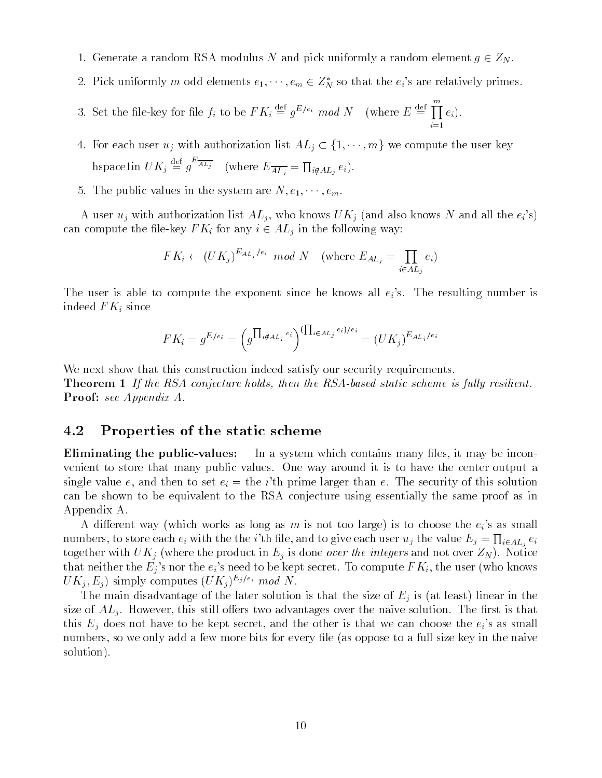- 1. Generate a random RSA modulus N and pick uniformly a random element  $g \in Z_N$ .
- 2. Pick uniformly m odd elements  $e_1, \cdots, e_m \in Z_N$  so that the  $e_i$  s are relatively primes.
- 3. Set the file-key for file  $f_i$  to be  $FK_i \stackrel{\text{def}}{=} g^{E/e_i} \mod N$  (where  $E \stackrel{\text{def}}{=} \prod e_i$ ). in the company of the company of the company of the company of the company of the company of the company of the company of the company of the company of the company of the company of the company of the company of the compa

4. For each user  $u_j$  with authorization list  $AL_j \subset \{1, \dots, m\}$  we compute the user key hspacelin  $UK_j \stackrel{\text{def}}{=} g^{-At_j}$  (where  $E_{\overline{AL_j}} = \prod_{i \notin AL_j} e_i$ ).

5. The public values in the system are  $N, e_1, \dots, e_m$ .

A user  $\alpha$  , with a straightforward list  $\alpha$  and  $\alpha$  and  $\alpha$  and  $\alpha$  and  $\alpha$  also know  $\alpha$  and  $\alpha$  all  $\alpha$ can compute the level in the following way in the following way in the following way in the following way in the following way in the following way in the following way in the following way in the following way in the foll

$$
FK_i \leftarrow (UK_j)^{E_{AL_j}/e_i} \mod N \quad \text{(where } E_{AL_j} = \prod_{i \in AL_j} e_i)
$$

The user is able to compute the exponent since  $\mathcal{C}$  is a single number is all eigenvalues of  $\mathcal{C}$ indeed  $FK_i$  since

$$
FK_i = g^{E/e_i} = \left( g^{\prod_{i \notin A_{L_j}} e_i} \right)^{(\prod_{i \in A_{L_j}} e_i)/e_i} = (UK_j)^{E_{AL_j}/e_i}
$$

We next show that this construction indeed satisfy our security requirements.

The RSA conjecture holds in the RSA conjecture holds in the RSA conjecture is fully resident to the RSA conjecture is fully resident to the RSA conjecture is fully resident to the RSA conjecture is fully resident to the RS **Proof:** see Appendix A.

#### 4.2 Properties of the static scheme

**Eliminating the public-values:** In a system which contains many files, it may be inconvenient to store that many public values. One way around it is to have the center output a single value e and then to set ei the <sup>i</sup>th prime larger than e The security of this solution can be shown to be equivalent to the RSA conjecture using essentially the same proof as in Appendix A

a dierent way which works as long as m is not to choose the eight is to choose the eight in the eight. numbers, to store each  $e_i$  with the the  $i$ 'th file, and to give each user  $u_j$  the value  $E_j = \prod_{i\in AL_j} e_i$ together with  $UK_j$  (where the product in  $E_j$  is done *over the integers* and not over  $Z_N$ ). Notice that the three that  $\#$  s need the eig s need to be kept secretary who knows have  $\pi$  and the user who knows who knows  $UK_j, E_j$  simply computes  $(UK_j)^{E_j/e_i} \mod N$ .

The main disadvantage of the later solution is that the size of  $E_i$  is (at least) linear in the size of  $AL_j$ . However, this still offers two advantages over the naive solution. The first is that this Eq does not have to be kept second to be kept second the other is that we can choose the eigenvalue of  $\ell$ numbers, so we only add a few more bits for every file (as oppose to a full size key in the naive solution).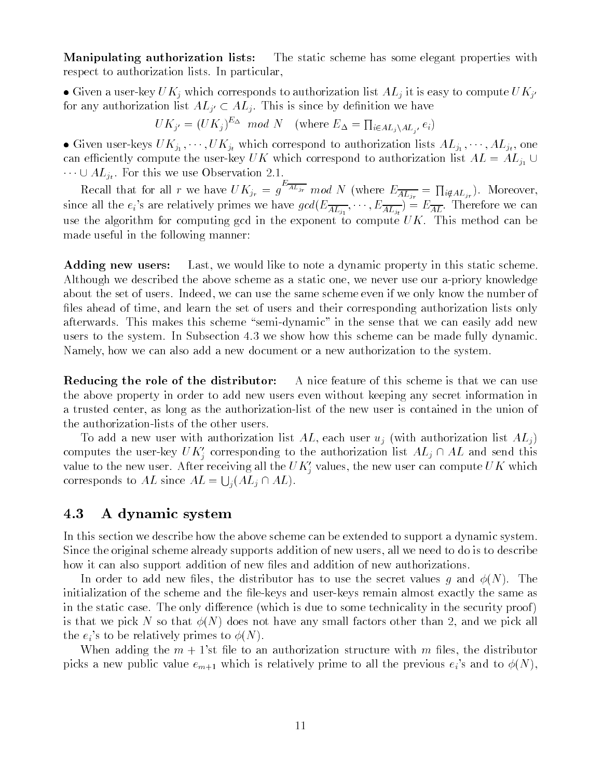**Manipulating authorization lists:** The static scheme has some elegant properties with respect to authorization lists. In particular,

e Given a aver-hey u rry which corresponds to authorization list Irry it is easy to compute U rry for any authorization list  $AL_{j'} \subset AL_j$ . This is since by definition we have

 $UK_{j'} = (UK_j)^{\omega_{\Delta}} \mod N$  (where  $E_{\Delta} = \prod_{i \in AL_j \setminus AL_{j'}} e_i$ )

 Given user-keys UKj UKjt which correspond to authorization lists ALj ALjt one can exist the user-compute the user-correspond to a user-correspond to a user-correspond to a user-correspond to a ALjt For this we use Observation

Recall that for all r we have  $UK_{j_r} = g^{-At_{j_r}} \mod N$  (where  $E_{\overline{AL_{j_r}}} = \prod_{i \notin AL_{j_r}}$ ). Moreover, since all the eigenvalues we can eight  $SL_{j_1}$ , we can eight  $AL_{j_1}$ , wherefore  $AL_{j_1}$ use the algorithm for computing gcd in the exponent to compute  $UK$ . This method can be made useful in the following manner

Adding new users: Last, we would like to note a dynamic property in this static scheme. Although we described the above scheme as a static one we never use our a-priory knowledge about the set of users. Indeed, we can use the same scheme even if we only know the number of files ahead of time, and learn the set of users and their corresponding authorization lists only afterwards This makes this scheme semi-can easily in the sense that we can easily added new can easily add new users to the system. In Subsection  $4.3$  we show how this scheme can be made fully dynamic. Namely, how we can also add a new document or a new authorization to the system.

**Reducing the role of the distributor:** A nice feature of this scheme is that we can use the above property in order to add new users even without keeping any secret information in a trusted center as  $\mathbf{M}$ 

To add a new user with authorization list AL, each user  $u_j$  (with authorization list  $AL_j$ ) computes the user-key  $U\Lambda_j$  corresponding to the authorization list  $AL_j \cap AL$  and send this value to the new user. After receiving all the UK<sub>i</sub> values, the new user can compute UK which corresponds to AL since  $AL = \bigcup_i (AL_i \cap AL)$ .

## A dynamic system

In this section we describe how the above scheme can be extended to support a dynamic system Since the original scheme already supports addition of new users all we need to do is to describe how it can also support addition of new files and addition of new authorizations.

In order to add new files, the distributor has to use the secret values q and  $\phi(N)$ . The initialization of the scheme and the left the le-particle the same almost the same almost same as the same as in the static case. The only difference (which is due to some technicality in the security proof) is that we pick N so that  $\phi(N)$  does not have any small factors other than 2, and we pick all the eight of the eight of the prime to the state of the state of the state of the state of the state of the state of the state of the state of the state of the state of the state of the state of the state of the state of t

When adding the m st le to an authorization structure with m les the distributor picks a new public value  $\rho_{\text{H}}$  is related to new to  $\rho$  prime to all the previous eight control to  $\rho$  (s)  $\rho$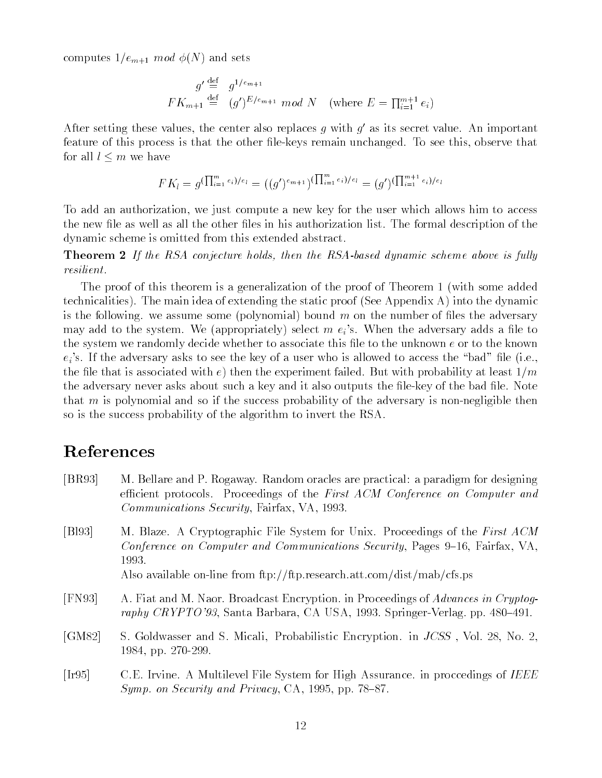computes  $1/e_{m+1}$  mod  $\phi(N)$  and sets

$$
g' \stackrel{\text{def}}{=} g^{1/e_{m+1}}
$$
  

$$
FK_{m+1} \stackrel{\text{def}}{=} (g')^{E/e_{m+1}} \mod N \quad \text{(where } E = \prod_{i=1}^{m+1} e_i)
$$

After setting these values, the center also replaces  $q$  with  $q$  as its secret value. An important feature of this process is that the other le-keys remain unchanged To see this observe that for all  $l \leq m$  we have

$$
FK_l = g^{(\prod_{i=1}^{m} e_i)/e_l} = ((g')^{e_{m+1}})^{(\prod_{i=1}^{m} e_i)/e_l} = (g')^{(\prod_{i=1}^{m+1} e_i)/e_l}
$$

To add an authorization, we just compute a new key for the user which allows him to access the new file as well as all the other files in his authorization list. The formal description of the dynamic scheme is omitted from this extended abstract

Theorem If the RSA conjecture holds then the RSAbased dynamic scheme above is ful ly resilient 

The proof of this theorem is a generalization of the proof of Theorem 1 (with some added technicalities). The main idea of extending the static proof (See Appendix A) into the dynamic is the following, we assume some (polynomial) bound m on the number of files the adversary may add to the system We appropriately select m ei s When the adversary adds a le to the system we randomly decide whether to associate this file to the unknown  $e$  or to the known ei s If the adversary asks to see the key of a user who is allowed to access the bad le ie the file that is associated with  $e)$  then the experiment failed. But with probability at least  $1/m$ the adverse provincial intervalses about such a provincial it also outputs the left of the bad least the bad l that m is polynomial and so if the success probability of the adversary is non-negligible then so is the success probability of the algorithm to invert the RSA

# References

- [BR93] M. Bellare and P. Rogaway. Random oracles are practical: a paradigm for designing efficient protocols. Proceedings of the First ACM Conference on Computer and Communications Security, Fairfax, VA, 1993.
- [Bl93] M. Blaze. A Cryptographic File System for Unix. Proceedings of the First ACM Conference on Computer and Communications Security, Pages 9–16, Fairfax, VA. 1993.

Also available on-line from ftpftpresearchattcomdistmabcfsps

- [FN 93] A. Fiat and M. Naor. Broadcast Encryption. in Proceedings of Advances in Cryptography CRYPTO Santa Barbara CA USA Barbara CA USA Barbara CA USA Barbara CA USA Barbara CA USA Barbara CA USA B
- [GM82] S. Goldwasser and S. Micali, Probabilistic Encryption. in *JCSS*, Vol. 28, No. 2, pp -
- [Ir95] C.E. Irvine. A Multilevel File System for High Assurance. in proccedings of IEEE Symp. on Security and Privacy, CA, 1995, pp. 78–87.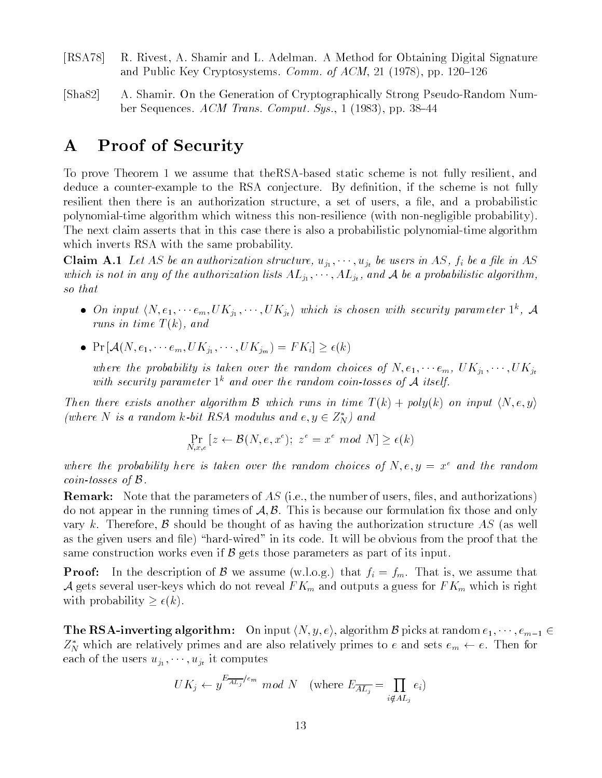- [RSA 78] R. Rivest, A. Shamir and L. Adelman. A Method for Obtaining Digital Signature and Public Key Cryptosystems. *Comm. of ACM*, 21 (1978), pp. 120–126
- Sha A Shamir On the Generation of Cryptographically Strong Pseudo-Random Number Sequences.  $ACM$  Trans. Comput. Sys., 1 (1983), pp. 38–44

# A Proof of Security

. To prove the static static static static static scheme is not fully resident and the static static static sch deduce a counter-example to the RSA conjecture By denition if the scheme is not fully resilient then there is an authorization structure, a set of users, a file, and a probabilistic polynomial-time algorithm with with with this non-time with non-time with non-time  $\mathcal{A}^{n}$ The next claim asserts that in this case that in this case that is algorithmic polynomialwhich inverts RSA with the same probability.

 $\tau$  and a let  $\tau$  be an authorization structure  $\tau$  ,  $\tau_{j+1}$  ,  $\tau_{j+1}$  ,  $\tau_{j+1}$  ,  $\tau_{j+1}$  ,  $\tau_{j+1}$  ,  $\tau_{j+1}$ which is not in any of the authorization lists  $A$  and  $A$  and  $A$  algorithmic lists  $A$  and  $A$ so that

- On input  $\langle N, e_1, \cdots e_m, O| \Lambda_{j_1}, \cdots, O| \Lambda_{j_t} \rangle$  which is chosen with security parameter 1, A runs in time T k and the T k and the T k and the T k and the T k and the T k and the T k and the T k and the T
- $P = \{x_1, x_2, \ldots, x_n\}$  . For  $P(x_1, x_2, \ldots, x_n)$  ,  $P(x_1, x_2, \ldots, x_n)$  ,  $P(x_1, x_2, \ldots, x_n)$

where the probability is taken over the random choices of N enjoy  $\mathcal{U} = \{0, 1, 1, \ldots, N\}$  . The random choices with security parameter  $1^k$  and over the random coin-tosses of A itself.

Then there exists another algorithm B which runs in time  $T(k) + poly(k)$  on input  $\langle N, e, y \rangle$ (where N is a random k-bit RSA modulus and  $e, y \in Z_N^*$ ) and

$$
\Pr_{N,x,e}[z \leftarrow \mathcal{B}(N,e,x^e); z^e = x^e \mod N] \ge \epsilon(k)
$$

where the probability here is taken over the random choices of N, e,  $y = x^e$  and the random coin tosses of  $\beta$ .

**Remark:** Note that the parameters of AS (i.e., the number of users, files, and authorizations) do not appear in the running times of  $A, B$ . This is because our formulation fix those and only vary k. Therefore, B should be thought of as having the authorization structure AS (as well as the given users and the proof that will be obvious from the code it will be obvious from the proof that the same construction works even if  $\beta$  gets those parameters as part of its input.

**Proof:** In the description of B we assume (w.l.o.g.) that  $f_i = f_m$ . That is, we assume that  $A \subset \{1, \ldots, n\}$  which do not reveal for  $\{1, \ldots, n\}$  for  $\{1, \ldots, n\}$  and  $\{1, \ldots, n\}$ with probability  $\mathcal{A} = \{x_1, x_2, \ldots, x_n\}$ 

**The RSA-inverting algorithm:** On input  $\langle N, y, e \rangle$ , algorithm B picks at random  $e_1, \dots, e_{m-1} \in$  $Z_N$  which are relatively primes and are also relatively primes to e and sets  $e_m \leftarrow e$ . Then for each of the users users users users users users users users users users users users users users users users users users users users users users users users users users users users users users users users users users users

$$
UK_j \leftarrow y^{\frac{E_{\overline{AL}_j}}{e_m}} \mod N \quad \text{(where } E_{\overline{AL}_j} = \prod_{i \notin AL_j} e_i)
$$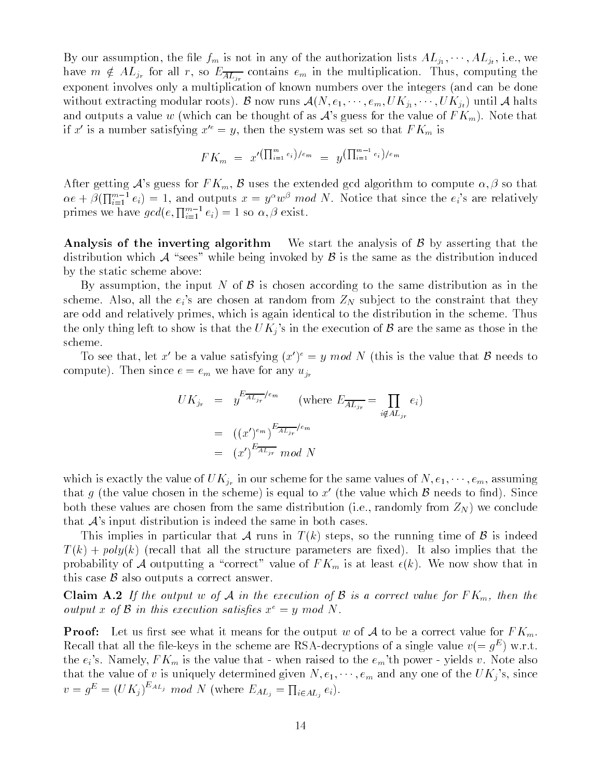$B$  our assumption the left in any  $B$  in any of the authorization lists  $A\subset J$  is  $A$ have  $m \notin AL_{j_r}$  for all r, so  $E_{\overline{AL_{j_r}}}$  contains  $e_m$  in the multiplication. Thus, computing the exponent involves only a multiplication of known numbers over the integers (and can be done without extracting modular roots <sup>B</sup> now runs AN e emUKj UKjt until <sup>A</sup> halts and outputs a value  $\alpha$  / which can be thought of as  $\alpha$  , the  $\alpha$  as  $\alpha$  as  $\alpha$  as  $\alpha$  as  $\alpha$ if x' is a number satisfying  $x^{\prime e} = y$ , then the system was set so that  $FK_m$  is

$$
FK_m = x'^{(\prod_{i=1}^m e_i)/e_m} = y^{(\prod_{i=1}^{m-1} e_i)/e_m}
$$

After getting As guess for F F  $\mu$  , we have the extending gain algorithm to compute algorithm to that the so  $\alpha e + \beta(\prod_{i=1}^{m-1} e_i) = 1$ , and outputs  $x = y^{\alpha}w^{\beta} \mod N$ . Notice that since the  $e_i$ 's are relatively primes we have  $gcd(e, \prod_{i=1}^{m-1} e_i) = 1$  so  $\alpha, \beta$  exist.

Analysis of the inverting algorithm We start the analysis of  $\beta$  by asserting that the distribution which A "sees" while being invoked by  $\beta$  is the same as the distribution induced by the static scheme above

By assumption, the input N of B is chosen according to the same distribution as in the s are chosen at random from  $\alpha$  and the eight to the chosen at random  $\alpha$   $\alpha$  is the constraint that the constraint that  $\beta$ are odd and relatively primes, which is again identical to the distribution in the scheme. Thus the only thing left to show is that the execution of  $U$  in the same as the same as those in the same as those in the same as those in the same as those in the same as those in the same as those in the same as those in th scheme

To see that, let x be a value satisfying  $x \mid y = y$  mod in this is the value that  $\beta$  needs to compute). Then since  $e = e_m$  we have for any  $u_{j_r}$ 

$$
UK_{j_r} = y^{E_{\overline{A L_{j_r}}}/e_m} \qquad \text{(where } E_{\overline{A L_{j_r}}} = \prod_{i \notin A L_{j_r}} e_i)
$$

$$
= ((x')^{e_m})^{E_{\overline{A L_{j_r}}}/e_m}
$$

$$
= (x')^{E_{\overline{A L_{j_r}}} \mod N
$$

which is exactly the value of  $U$  is exactly the same values of  $\mathcal{U}$  em assuming of  $\mathcal{U}$ that g (the value chosen in the scheme) is equal to x' (the value which  $\beta$  needs to find). Since both these values are chosen from the same distribution (i.e., randomly from  $Z_N$ ) we conclude that <sup>A</sup>s input distribution is indeed the same in both cases

This implies in particular that A runs in  $T(k)$  steps, so the running time of B is indeed  $T(k) + poly(k)$  (recall that all the structure parameters are fixed). It also implies that the probability of A outputting a "correct" value of  $FK_m$  is at least  $\epsilon(k)$ . We now show that in this case  $\beta$  also outputs a correct answer.

 $\dot{J}$  is a the output w of A in the execution of B in the execution of B is a correct value for F Km in the execution of B is a correct value for  $\dot{M}$ output x of B in this execution satisfies  $x^e = y \mod N$ .

**Proof:** Let us first see what it means for the output w of A to be a correct value for  $FK_m$ . Recall that all the life-keys in the scheme are RSA-decryptions of a single value  $v (= q^-)$  w.r.t. the eight contract is the value that contract the state of the raised that  $\mu$  and the extract contract that  $\sim$ that the value of value of value  $\mathcal{U}$  is uniquely determined given  $\mathcal{U}$  . The UK is uniquely determined any one of the UK is uniquely determined any one of the UK is uniquely determined any one of the UK is unique  $v = g<sup>E</sup> = (UK<sub>j</sub>)<sup>EAL<sub>j</sub></sup> mod N$  (where  $E<sub>AL<sub>j</sub></sub> = \prod_{i \in AL<sub>j</sub>} e<sub>i</sub>$ ).